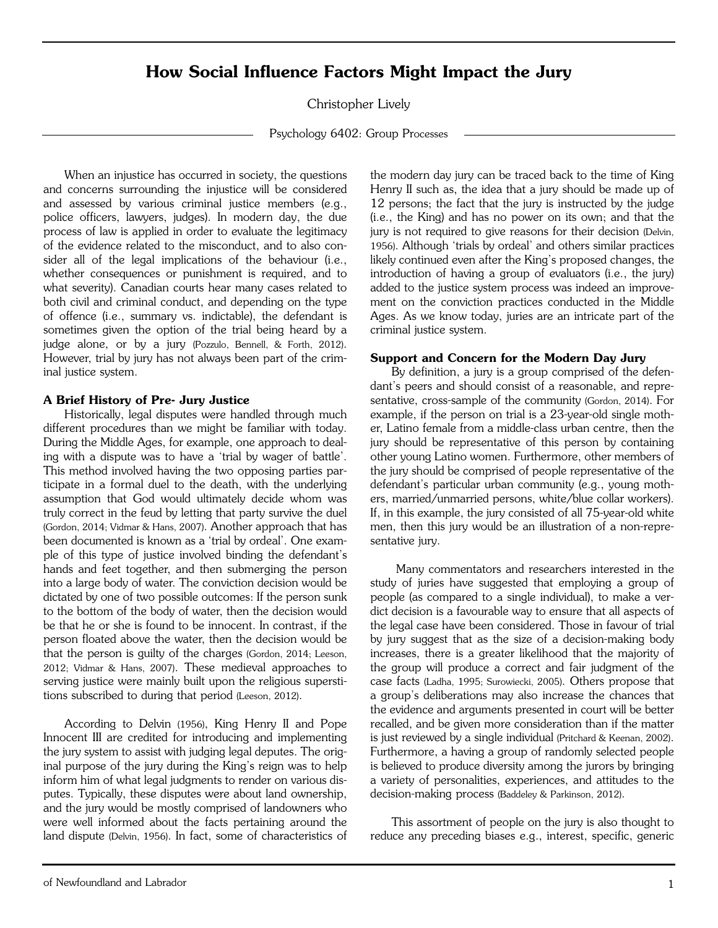# **How Social Influence Factors Might Impact the Jury**

Christopher Lively

Psychology 6402: Group Processes

When an injustice has occurred in society, the questions and concerns surrounding the injustice will be considered and assessed by various criminal justice members (e.g., police officers, lawyers, judges). In modern day, the due process of law is applied in order to evaluate the legitimacy of the evidence related to the misconduct, and to also consider all of the legal implications of the behaviour (i.e., whether consequences or punishment is required, and to what severity). Canadian courts hear many cases related to both civil and criminal conduct, and depending on the type of offence (i.e., summary vs. indictable), the defendant is sometimes given the option of the trial being heard by a judge alone, or by a jury (Pozzulo, Bennell, & Forth, 2012). However, trial by jury has not always been part of the criminal justice system.

## **A Brief History of Pre- Jury Justice**

Historically, legal disputes were handled through much different procedures than we might be familiar with today. During the Middle Ages, for example, one approach to dealing with a dispute was to have a 'trial by wager of battle'. This method involved having the two opposing parties participate in a formal duel to the death, with the underlying assumption that God would ultimately decide whom was truly correct in the feud by letting that party survive the duel (Gordon, 2014; Vidmar & Hans, 2007). Another approach that has been documented is known as a 'trial by ordeal'. One example of this type of justice involved binding the defendant's hands and feet together, and then submerging the person into a large body of water. The conviction decision would be dictated by one of two possible outcomes: If the person sunk to the bottom of the body of water, then the decision would be that he or she is found to be innocent. In contrast, if the person floated above the water, then the decision would be that the person is guilty of the charges (Gordon, 2014; Leeson, 2012; Vidmar & Hans, 2007). These medieval approaches to serving justice were mainly built upon the religious superstitions subscribed to during that period (Leeson, 2012).

According to Delvin (1956), King Henry II and Pope Innocent III are credited for introducing and implementing the jury system to assist with judging legal deputes. The original purpose of the jury during the King's reign was to help inform him of what legal judgments to render on various disputes. Typically, these disputes were about land ownership, and the jury would be mostly comprised of landowners who were well informed about the facts pertaining around the land dispute (Delvin, 1956). In fact, some of characteristics of the modern day jury can be traced back to the time of King Henry II such as, the idea that a jury should be made up of 12 persons; the fact that the jury is instructed by the judge (i.e., the King) and has no power on its own; and that the jury is not required to give reasons for their decision (Delvin, 1956). Although 'trials by ordeal' and others similar practices likely continued even after the King's proposed changes, the introduction of having a group of evaluators (i.e., the jury) added to the justice system process was indeed an improvement on the conviction practices conducted in the Middle Ages. As we know today, juries are an intricate part of the criminal justice system.

# **Support and Concern for the Modern Day Jury**

By definition, a jury is a group comprised of the defendant's peers and should consist of a reasonable, and representative, cross-sample of the community (Gordon, 2014). For example, if the person on trial is a 23-year-old single mother, Latino female from a middle-class urban centre, then the jury should be representative of this person by containing other young Latino women. Furthermore, other members of the jury should be comprised of people representative of the defendant's particular urban community (e.g., young mothers, married/unmarried persons, white/blue collar workers). If, in this example, the jury consisted of all 75-year-old white men, then this jury would be an illustration of a non-representative jury.

Many commentators and researchers interested in the study of juries have suggested that employing a group of people (as compared to a single individual), to make a verdict decision is a favourable way to ensure that all aspects of the legal case have been considered. Those in favour of trial by jury suggest that as the size of a decision-making body increases, there is a greater likelihood that the majority of the group will produce a correct and fair judgment of the case facts (Ladha, 1995; Surowiecki, 2005). Others propose that a group's deliberations may also increase the chances that the evidence and arguments presented in court will be better recalled, and be given more consideration than if the matter is just reviewed by a single individual (Pritchard & Keenan, 2002). Furthermore, a having a group of randomly selected people is believed to produce diversity among the jurors by bringing a variety of personalities, experiences, and attitudes to the decision-making process (Baddeley & Parkinson, 2012).

This assortment of people on the jury is also thought to reduce any preceding biases e.g., interest, specific, generic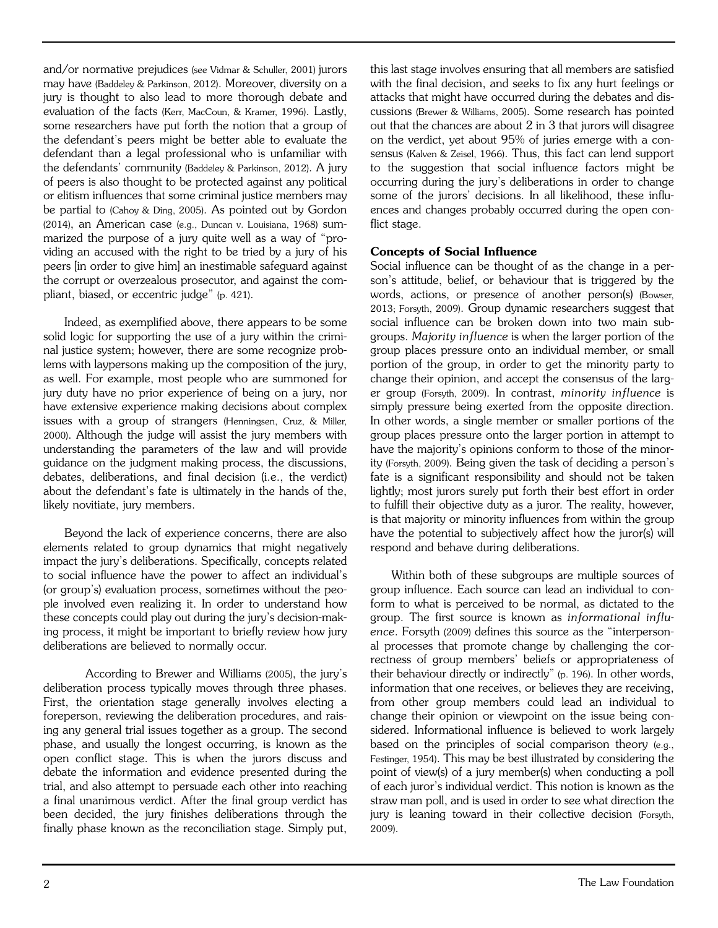and/or normative prejudices (see Vidmar & Schuller, 2001) jurors may have (Baddeley & Parkinson, 2012). Moreover, diversity on a jury is thought to also lead to more thorough debate and evaluation of the facts (Kerr, MacCoun, & Kramer, 1996). Lastly, some researchers have put forth the notion that a group of the defendant's peers might be better able to evaluate the defendant than a legal professional who is unfamiliar with the defendants' community (Baddeley & Parkinson, 2012). A jury of peers is also thought to be protected against any political or elitism influences that some criminal justice members may be partial to (Cahoy & Ding, 2005). As pointed out by Gordon (2014), an American case (e.g., Duncan v. Louisiana, 1968) summarized the purpose of a jury quite well as a way of "providing an accused with the right to be tried by a jury of his peers [in order to give him] an inestimable safeguard against the corrupt or overzealous prosecutor, and against the compliant, biased, or eccentric judge" (p. 421).

Indeed, as exemplified above, there appears to be some solid logic for supporting the use of a jury within the criminal justice system; however, there are some recognize problems with laypersons making up the composition of the jury, as well. For example, most people who are summoned for jury duty have no prior experience of being on a jury, nor have extensive experience making decisions about complex issues with a group of strangers (Henningsen, Cruz, & Miller, 2000). Although the judge will assist the jury members with understanding the parameters of the law and will provide guidance on the judgment making process, the discussions, debates, deliberations, and final decision (i.e., the verdict) about the defendant's fate is ultimately in the hands of the, likely novitiate, jury members.

Beyond the lack of experience concerns, there are also elements related to group dynamics that might negatively impact the jury's deliberations. Specifically, concepts related to social influence have the power to affect an individual's (or group's) evaluation process, sometimes without the people involved even realizing it. In order to understand how these concepts could play out during the jury's decision-making process, it might be important to briefly review how jury deliberations are believed to normally occur.

According to Brewer and Williams (2005), the jury's deliberation process typically moves through three phases. First, the orientation stage generally involves electing a foreperson, reviewing the deliberation procedures, and raising any general trial issues together as a group. The second phase, and usually the longest occurring, is known as the open conflict stage. This is when the jurors discuss and debate the information and evidence presented during the trial, and also attempt to persuade each other into reaching a final unanimous verdict. After the final group verdict has been decided, the jury finishes deliberations through the finally phase known as the reconciliation stage. Simply put, this last stage involves ensuring that all members are satisfied with the final decision, and seeks to fix any hurt feelings or attacks that might have occurred during the debates and discussions (Brewer & Williams, 2005). Some research has pointed out that the chances are about 2 in 3 that jurors will disagree on the verdict, yet about 95% of juries emerge with a consensus (Kalven & Zeisel, 1966). Thus, this fact can lend support to the suggestion that social influence factors might be occurring during the jury's deliberations in order to change some of the jurors' decisions. In all likelihood, these influences and changes probably occurred during the open conflict stage.

# **Concepts of Social Influence**

Social influence can be thought of as the change in a person's attitude, belief, or behaviour that is triggered by the words, actions, or presence of another person(s) (Bowser, 2013; Forsyth, 2009). Group dynamic researchers suggest that social influence can be broken down into two main subgroups. *Majority influence* is when the larger portion of the group places pressure onto an individual member, or small portion of the group, in order to get the minority party to change their opinion, and accept the consensus of the larger group (Forsyth, 2009). In contrast, *minority influence* is simply pressure being exerted from the opposite direction. In other words, a single member or smaller portions of the group places pressure onto the larger portion in attempt to have the majority's opinions conform to those of the minority (Forsyth, 2009). Being given the task of deciding a person's fate is a significant responsibility and should not be taken lightly; most jurors surely put forth their best effort in order to fulfill their objective duty as a juror. The reality, however, is that majority or minority influences from within the group have the potential to subjectively affect how the juror(s) will respond and behave during deliberations.

Within both of these subgroups are multiple sources of group influence. Each source can lead an individual to conform to what is perceived to be normal, as dictated to the group. The first source is known as *informational influence*. Forsyth (2009) defines this source as the "interpersonal processes that promote change by challenging the correctness of group members' beliefs or appropriateness of their behaviour directly or indirectly" (p. 196). In other words, information that one receives, or believes they are receiving, from other group members could lead an individual to change their opinion or viewpoint on the issue being considered. Informational influence is believed to work largely based on the principles of social comparison theory (e.g., Festinger, 1954). This may be best illustrated by considering the point of view(s) of a jury member(s) when conducting a poll of each juror's individual verdict. This notion is known as the straw man poll, and is used in order to see what direction the jury is leaning toward in their collective decision (Forsyth, 2009).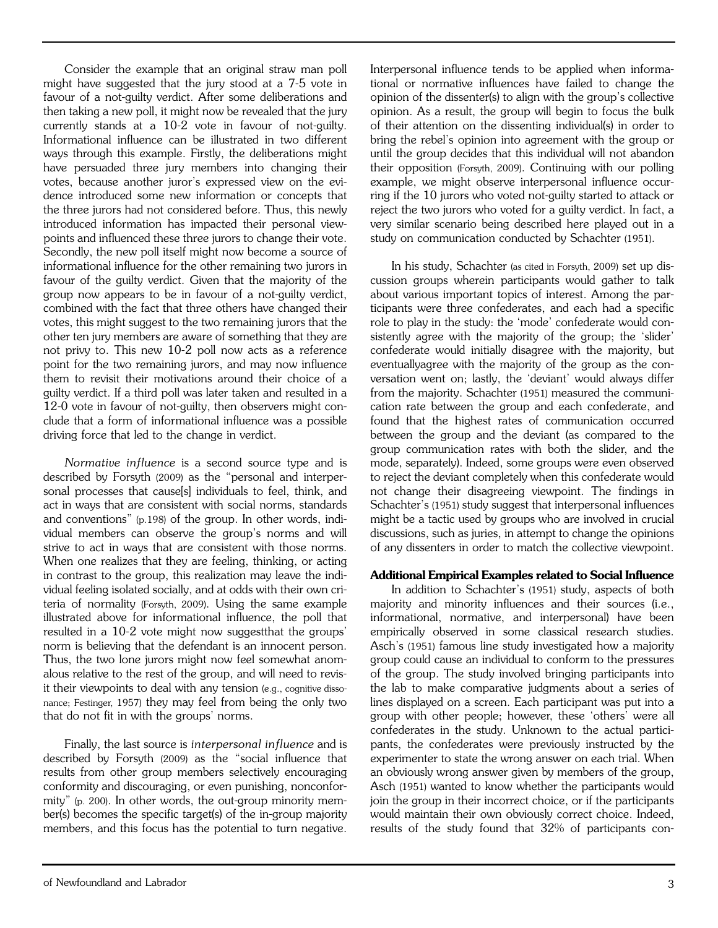Consider the example that an original straw man poll might have suggested that the jury stood at a 7-5 vote in favour of a not-guilty verdict. After some deliberations and then taking a new poll, it might now be revealed that the jury currently stands at a 10-2 vote in favour of not-guilty. Informational influence can be illustrated in two different ways through this example. Firstly, the deliberations might have persuaded three jury members into changing their votes, because another juror's expressed view on the evidence introduced some new information or concepts that the three jurors had not considered before. Thus, this newly introduced information has impacted their personal viewpoints and influenced these three jurors to change their vote. Secondly, the new poll itself might now become a source of informational influence for the other remaining two jurors in favour of the guilty verdict. Given that the majority of the group now appears to be in favour of a not-guilty verdict, combined with the fact that three others have changed their votes, this might suggest to the two remaining jurors that the other ten jury members are aware of something that they are not privy to. This new 10-2 poll now acts as a reference point for the two remaining jurors, and may now influence them to revisit their motivations around their choice of a guilty verdict. If a third poll was later taken and resulted in a 12-0 vote in favour of not-guilty, then observers might conclude that a form of informational influence was a possible driving force that led to the change in verdict.

*Normative influence* is a second source type and is described by Forsyth (2009) as the "personal and interpersonal processes that cause[s] individuals to feel, think, and act in ways that are consistent with social norms, standards and conventions" (p.198) of the group. In other words, individual members can observe the group's norms and will strive to act in ways that are consistent with those norms. When one realizes that they are feeling, thinking, or acting in contrast to the group, this realization may leave the individual feeling isolated socially, and at odds with their own criteria of normality (Forsyth, 2009). Using the same example illustrated above for informational influence, the poll that resulted in a 10-2 vote might now suggestthat the groups' norm is believing that the defendant is an innocent person. Thus, the two lone jurors might now feel somewhat anomalous relative to the rest of the group, and will need to revisit their viewpoints to deal with any tension (e.g., cognitive dissonance; Festinger, 1957) they may feel from being the only two that do not fit in with the groups' norms.

Finally, the last source is *interpersonal influence* and is described by Forsyth (2009) as the "social influence that results from other group members selectively encouraging conformity and discouraging, or even punishing, nonconformity" (p. 200). In other words, the out-group minority member(s) becomes the specific target(s) of the in-group majority members, and this focus has the potential to turn negative.

Interpersonal influence tends to be applied when informational or normative influences have failed to change the opinion of the dissenter(s) to align with the group's collective opinion. As a result, the group will begin to focus the bulk of their attention on the dissenting individual(s) in order to bring the rebel's opinion into agreement with the group or until the group decides that this individual will not abandon their opposition (Forsyth, 2009). Continuing with our polling example, we might observe interpersonal influence occurring if the 10 jurors who voted not-guilty started to attack or reject the two jurors who voted for a guilty verdict. In fact, a very similar scenario being described here played out in a study on communication conducted by Schachter (1951).

In his study, Schachter (as cited in Forsyth, 2009) set up discussion groups wherein participants would gather to talk about various important topics of interest. Among the participants were three confederates, and each had a specific role to play in the study: the 'mode' confederate would consistently agree with the majority of the group; the 'slider' confederate would initially disagree with the majority, but eventuallyagree with the majority of the group as the conversation went on; lastly, the 'deviant' would always differ from the majority. Schachter (1951) measured the communication rate between the group and each confederate, and found that the highest rates of communication occurred between the group and the deviant (as compared to the group communication rates with both the slider, and the mode, separately). Indeed, some groups were even observed to reject the deviant completely when this confederate would not change their disagreeing viewpoint. The findings in Schachter's (1951) study suggest that interpersonal influences might be a tactic used by groups who are involved in crucial discussions, such as juries, in attempt to change the opinions of any dissenters in order to match the collective viewpoint.

#### **Additional Empirical Examples related to Social Influence**

In addition to Schachter's (1951) study, aspects of both majority and minority influences and their sources (i.e., informational, normative, and interpersonal) have been empirically observed in some classical research studies. Asch's (1951) famous line study investigated how a majority group could cause an individual to conform to the pressures of the group. The study involved bringing participants into the lab to make comparative judgments about a series of lines displayed on a screen. Each participant was put into a group with other people; however, these 'others' were all confederates in the study. Unknown to the actual participants, the confederates were previously instructed by the experimenter to state the wrong answer on each trial. When an obviously wrong answer given by members of the group, Asch (1951) wanted to know whether the participants would join the group in their incorrect choice, or if the participants would maintain their own obviously correct choice. Indeed, results of the study found that 32% of participants con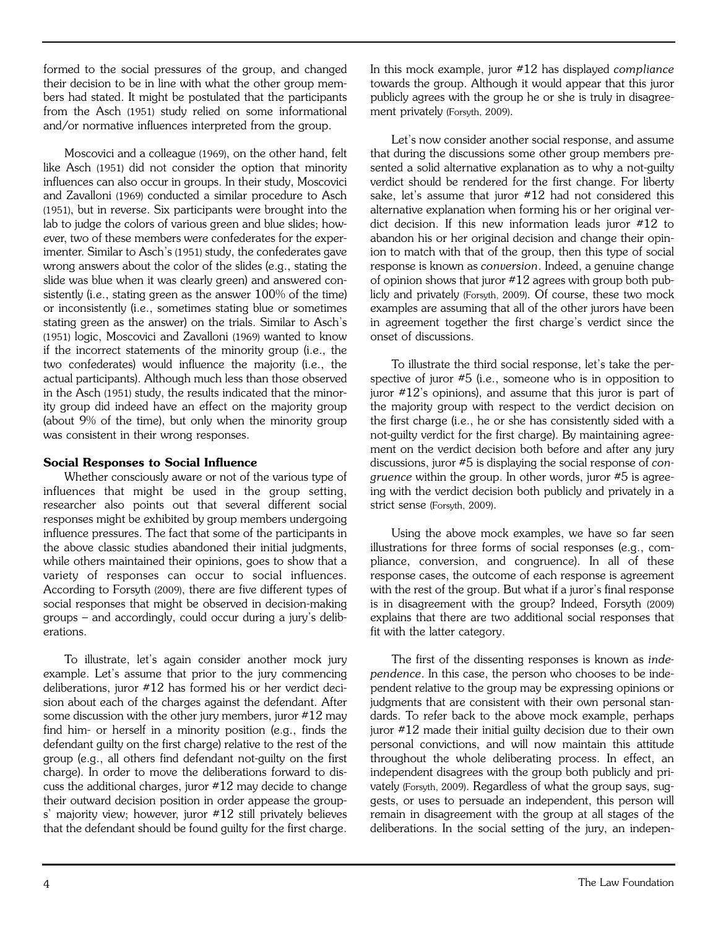formed to the social pressures of the group, and changed their decision to be in line with what the other group members had stated. It might be postulated that the participants from the Asch (1951) study relied on some informational and/or normative influences interpreted from the group.

Moscovici and a colleague (1969), on the other hand, felt like Asch (1951) did not consider the option that minority influences can also occur in groups. In their study, Moscovici and Zavalloni (1969) conducted a similar procedure to Asch (1951), but in reverse. Six participants were brought into the lab to judge the colors of various green and blue slides; however, two of these members were confederates for the experimenter. Similar to Asch's (1951) study, the confederates gave wrong answers about the color of the slides (e.g., stating the slide was blue when it was clearly green) and answered consistently (i.e., stating green as the answer 100% of the time) or inconsistently (i.e., sometimes stating blue or sometimes stating green as the answer) on the trials. Similar to Asch's (1951) logic, Moscovici and Zavalloni (1969) wanted to know if the incorrect statements of the minority group (i.e., the two confederates) would influence the majority (i.e., the actual participants). Although much less than those observed in the Asch (1951) study, the results indicated that the minority group did indeed have an effect on the majority group (about 9% of the time), but only when the minority group was consistent in their wrong responses.

# **Social Responses to Social Influence**

Whether consciously aware or not of the various type of influences that might be used in the group setting, researcher also points out that several different social responses might be exhibited by group members undergoing influence pressures. The fact that some of the participants in the above classic studies abandoned their initial judgments, while others maintained their opinions, goes to show that a variety of responses can occur to social influences. According to Forsyth (2009), there are five different types of social responses that might be observed in decision-making groups – and accordingly, could occur during a jury's deliberations.

To illustrate, let's again consider another mock jury example. Let's assume that prior to the jury commencing deliberations, juror #12 has formed his or her verdict decision about each of the charges against the defendant. After some discussion with the other jury members, juror #12 may find him- or herself in a minority position (e.g., finds the defendant guilty on the first charge) relative to the rest of the group (e.g., all others find defendant not-guilty on the first charge). In order to move the deliberations forward to discuss the additional charges, juror #12 may decide to change their outward decision position in order appease the groups' majority view; however, juror #12 still privately believes that the defendant should be found guilty for the first charge. In this mock example, juror #12 has displayed *compliance* towards the group. Although it would appear that this juror publicly agrees with the group he or she is truly in disagreement privately (Forsyth, 2009).

Let's now consider another social response, and assume that during the discussions some other group members presented a solid alternative explanation as to why a not-guilty verdict should be rendered for the first change. For liberty sake, let's assume that juror #12 had not considered this alternative explanation when forming his or her original verdict decision. If this new information leads juror #12 to abandon his or her original decision and change their opinion to match with that of the group, then this type of social response is known as *conversion*. Indeed, a genuine change of opinion shows that juror #12 agrees with group both publicly and privately (Forsyth, 2009). Of course, these two mock examples are assuming that all of the other jurors have been in agreement together the first charge's verdict since the onset of discussions.

To illustrate the third social response, let's take the perspective of juror #5 (i.e., someone who is in opposition to juror #12's opinions), and assume that this juror is part of the majority group with respect to the verdict decision on the first charge (i.e., he or she has consistently sided with a not-guilty verdict for the first charge). By maintaining agreement on the verdict decision both before and after any jury discussions, juror #5 is displaying the social response of *congruence* within the group. In other words, juror #5 is agreeing with the verdict decision both publicly and privately in a strict sense (Forsyth, 2009).

Using the above mock examples, we have so far seen illustrations for three forms of social responses (e.g., compliance, conversion, and congruence). In all of these response cases, the outcome of each response is agreement with the rest of the group. But what if a juror's final response is in disagreement with the group? Indeed, Forsyth (2009) explains that there are two additional social responses that fit with the latter category.

The first of the dissenting responses is known as *independence*. In this case, the person who chooses to be independent relative to the group may be expressing opinions or judgments that are consistent with their own personal standards. To refer back to the above mock example, perhaps juror #12 made their initial guilty decision due to their own personal convictions, and will now maintain this attitude throughout the whole deliberating process. In effect, an independent disagrees with the group both publicly and privately (Forsyth, 2009). Regardless of what the group says, suggests, or uses to persuade an independent, this person will remain in disagreement with the group at all stages of the deliberations. In the social setting of the jury, an indepen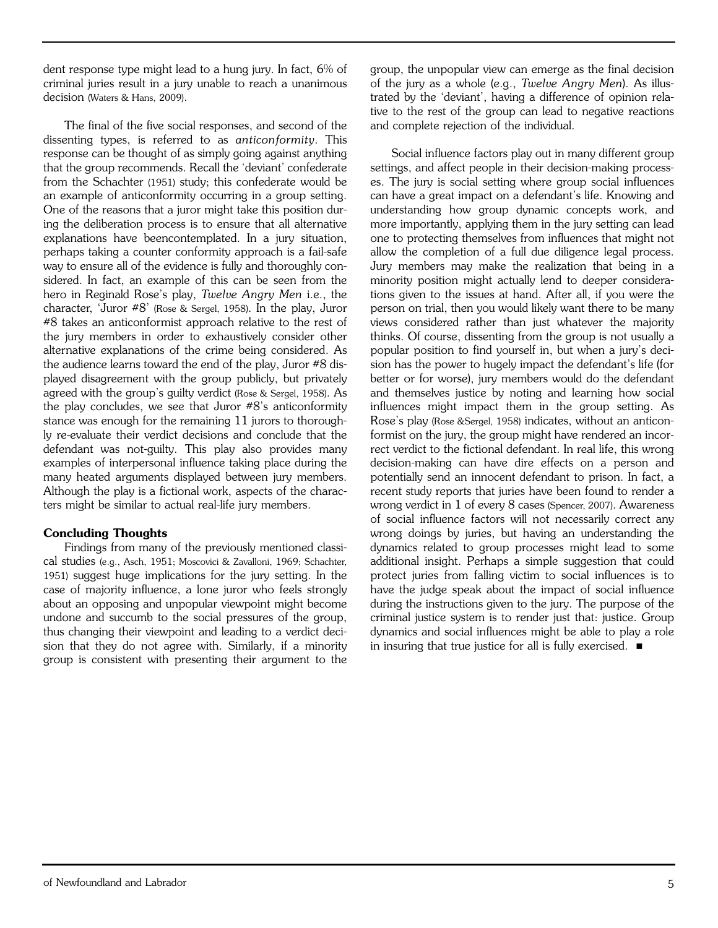dent response type might lead to a hung jury. In fact, 6% of criminal juries result in a jury unable to reach a unanimous decision (Waters & Hans, 2009).

The final of the five social responses, and second of the dissenting types, is referred to as *anticonformity*. This response can be thought of as simply going against anything that the group recommends. Recall the 'deviant' confederate from the Schachter (1951) study; this confederate would be an example of anticonformity occurring in a group setting. One of the reasons that a juror might take this position during the deliberation process is to ensure that all alternative explanations have beencontemplated. In a jury situation, perhaps taking a counter conformity approach is a fail-safe way to ensure all of the evidence is fully and thoroughly considered. In fact, an example of this can be seen from the hero in Reginald Rose's play, *Twelve Angry Men* i.e., the character, 'Juror #8' (Rose & Sergel, 1958). In the play, Juror #8 takes an anticonformist approach relative to the rest of the jury members in order to exhaustively consider other alternative explanations of the crime being considered. As the audience learns toward the end of the play, Juror #8 displayed disagreement with the group publicly, but privately agreed with the group's guilty verdict (Rose & Sergel, 1958). As the play concludes, we see that Juror #8's anticonformity stance was enough for the remaining 11 jurors to thoroughly re-evaluate their verdict decisions and conclude that the defendant was not-guilty. This play also provides many examples of interpersonal influence taking place during the many heated arguments displayed between jury members. Although the play is a fictional work, aspects of the characters might be similar to actual real-life jury members.

## **Concluding Thoughts**

Findings from many of the previously mentioned classical studies (e.g., Asch, 1951; Moscovici & Zavalloni, 1969; Schachter, 1951) suggest huge implications for the jury setting. In the case of majority influence, a lone juror who feels strongly about an opposing and unpopular viewpoint might become undone and succumb to the social pressures of the group, thus changing their viewpoint and leading to a verdict decision that they do not agree with. Similarly, if a minority group is consistent with presenting their argument to the group, the unpopular view can emerge as the final decision of the jury as a whole (e.g., *Twelve Angry Men*). As illustrated by the 'deviant', having a difference of opinion relative to the rest of the group can lead to negative reactions and complete rejection of the individual.

Social influence factors play out in many different group settings, and affect people in their decision-making processes. The jury is social setting where group social influences can have a great impact on a defendant's life. Knowing and understanding how group dynamic concepts work, and more importantly, applying them in the jury setting can lead one to protecting themselves from influences that might not allow the completion of a full due diligence legal process. Jury members may make the realization that being in a minority position might actually lend to deeper considerations given to the issues at hand. After all, if you were the person on trial, then you would likely want there to be many views considered rather than just whatever the majority thinks. Of course, dissenting from the group is not usually a popular position to find yourself in, but when a jury's decision has the power to hugely impact the defendant's life (for better or for worse), jury members would do the defendant and themselves justice by noting and learning how social influences might impact them in the group setting. As Rose's play (Rose &Sergel, 1958) indicates, without an anticonformist on the jury, the group might have rendered an incorrect verdict to the fictional defendant. In real life, this wrong decision-making can have dire effects on a person and potentially send an innocent defendant to prison. In fact, a recent study reports that juries have been found to render a wrong verdict in 1 of every 8 cases (Spencer, 2007). Awareness of social influence factors will not necessarily correct any wrong doings by juries, but having an understanding the dynamics related to group processes might lead to some additional insight. Perhaps a simple suggestion that could protect juries from falling victim to social influences is to have the judge speak about the impact of social influence during the instructions given to the jury. The purpose of the criminal justice system is to render just that: justice. Group dynamics and social influences might be able to play a role in insuring that true justice for all is fully exercised.  $\blacksquare$